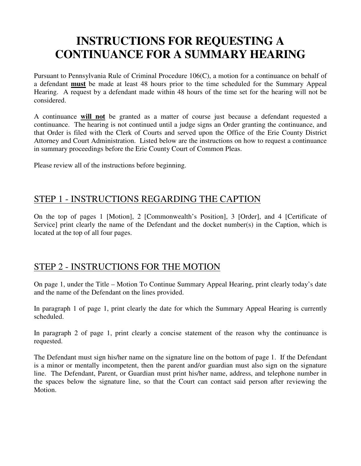# **INSTRUCTIONS FOR REQUESTING A CONTINUANCE FOR A SUMMARY HEARING**

Pursuant to Pennsylvania Rule of Criminal Procedure 106(C), a motion for a continuance on behalf of a defendant **must** be made at least 48 hours prior to the time scheduled for the Summary Appeal Hearing. A request by a defendant made within 48 hours of the time set for the hearing will not be considered.

A continuance **will not** be granted as a matter of course just because a defendant requested a continuance. The hearing is not continued until a judge signs an Order granting the continuance, and that Order is filed with the Clerk of Courts and served upon the Office of the Erie County District Attorney and Court Administration. Listed below are the instructions on how to request a continuance in summary proceedings before the Erie County Court of Common Pleas.

Please review all of the instructions before beginning.

### STEP 1 - INSTRUCTIONS REGARDING THE CAPTION

On the top of pages 1 [Motion], 2 [Commonwealth's Position], 3 [Order], and 4 [Certificate of Service] print clearly the name of the Defendant and the docket number(s) in the Caption, which is located at the top of all four pages.

### STEP 2 - INSTRUCTIONS FOR THE MOTION

On page 1, under the Title – Motion To Continue Summary Appeal Hearing, print clearly today's date and the name of the Defendant on the lines provided.

In paragraph 1 of page 1, print clearly the date for which the Summary Appeal Hearing is currently scheduled.

In paragraph 2 of page 1, print clearly a concise statement of the reason why the continuance is requested.

The Defendant must sign his/her name on the signature line on the bottom of page 1. If the Defendant is a minor or mentally incompetent, then the parent and/or guardian must also sign on the signature line. The Defendant, Parent, or Guardian must print his/her name, address, and telephone number in the spaces below the signature line, so that the Court can contact said person after reviewing the Motion.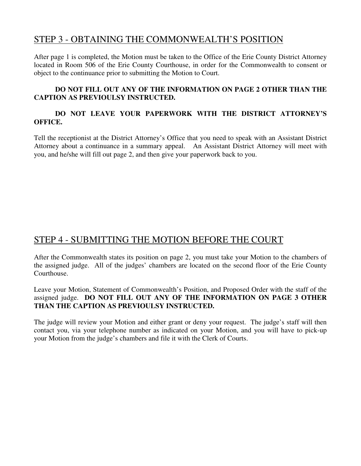### STEP 3 - OBTAINING THE COMMONWEALTH'S POSITION

After page 1 is completed, the Motion must be taken to the Office of the Erie County District Attorney located in Room 506 of the Erie County Courthouse, in order for the Commonwealth to consent or object to the continuance prior to submitting the Motion to Court.

#### **DO NOT FILL OUT ANY OF THE INFORMATION ON PAGE 2 OTHER THAN THE CAPTION AS PREVIOULSY INSTRUCTED.**

### **DO NOT LEAVE YOUR PAPERWORK WITH THE DISTRICT ATTORNEY'S OFFICE.**

Tell the receptionist at the District Attorney's Office that you need to speak with an Assistant District Attorney about a continuance in a summary appeal. An Assistant District Attorney will meet with you, and he/she will fill out page 2, and then give your paperwork back to you.

# STEP 4 - SUBMITTING THE MOTION BEFORE THE COURT

After the Commonwealth states its position on page 2, you must take your Motion to the chambers of the assigned judge. All of the judges' chambers are located on the second floor of the Erie County Courthouse.

Leave your Motion, Statement of Commonwealth's Position, and Proposed Order with the staff of the assigned judge. **DO NOT FILL OUT ANY OF THE INFORMATION ON PAGE 3 OTHER THAN THE CAPTION AS PREVIOULSY INSTRUCTED.** 

The judge will review your Motion and either grant or deny your request. The judge's staff will then contact you, via your telephone number as indicated on your Motion, and you will have to pick-up your Motion from the judge's chambers and file it with the Clerk of Courts.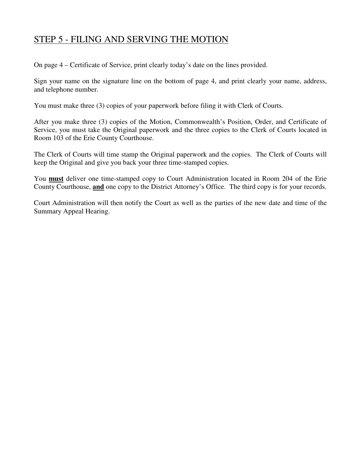## STEP 5 - FILING AND SERVING THE MOTION

On page 4 – Certificate of Service, print clearly today's date on the lines provided.

Sign your name on the signature line on the bottom of page 4, and print clearly your name, address, and telephone number.

You must make three (3) copies of your paperwork before filing it with Clerk of Courts.

After you make three (3) copies of the Motion, Commonwealth's Position, Order, and Certificate of Service, you must take the Original paperwork and the three copies to the Clerk of Courts located in Room 103 of the Erie County Courthouse.

The Clerk of Courts will time stamp the Original paperwork and the copies. The Clerk of Courts will keep the Original and give you back your three time-stamped copies.

You **must** deliver one time-stamped copy to Court Administration located in Room 204 of the Erie County Courthouse, **and** one copy to the District Attorney's Office. The third copy is for your records.

Court Administration will then notify the Court as well as the parties of the new date and time of the Summary Appeal Hearing.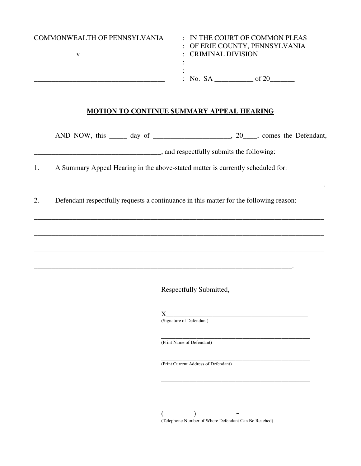| <b>COMMONWEALTH OF PENNSYLVANIA</b> | : CRIMINAL DIVISION | $\therefore$ IN THE COURT OF COMMON PLEAS<br>: OF ERIE COUNTY, PENNSYLVANIA |
|-------------------------------------|---------------------|-----------------------------------------------------------------------------|
|                                     | $:$ No. SA          | of 20                                                                       |

#### **MOTION TO CONTINUE SUMMARY APPEAL HEARING**

\_\_\_\_\_\_\_\_\_\_\_\_\_\_\_\_\_\_\_\_\_\_\_\_\_\_\_\_\_\_\_\_\_\_\_\_\_\_\_\_\_\_\_\_\_\_\_\_\_\_\_\_\_\_\_\_\_\_\_\_\_\_\_\_\_\_\_\_\_\_\_\_\_\_\_\_\_\_\_\_\_\_.

\_\_\_\_\_\_\_\_\_\_\_\_\_\_\_\_\_\_\_\_\_\_\_\_\_\_\_\_\_\_\_\_\_\_\_\_\_\_\_\_\_\_\_\_\_\_\_\_\_\_\_\_\_\_\_\_\_\_\_\_\_\_\_\_\_\_\_\_\_\_\_\_\_\_\_\_\_\_\_\_\_\_

\_\_\_\_\_\_\_\_\_\_\_\_\_\_\_\_\_\_\_\_\_\_\_\_\_\_\_\_\_\_\_\_\_\_\_\_\_\_\_\_\_\_\_\_\_\_\_\_\_\_\_\_\_\_\_\_\_\_\_\_\_\_\_\_\_\_\_\_\_\_\_\_\_\_\_\_\_\_\_\_\_\_

\_\_\_\_\_\_\_\_\_\_\_\_\_\_\_\_\_\_\_\_\_\_\_\_\_\_\_\_\_\_\_\_\_\_\_\_\_\_\_\_\_\_\_\_\_\_\_\_\_\_\_\_\_\_\_\_\_\_\_\_\_\_\_\_\_\_\_\_\_\_\_\_\_\_\_\_\_\_\_\_\_\_

AND NOW, this \_\_\_\_\_ day of \_\_\_\_\_\_\_\_\_\_\_\_\_\_\_\_\_\_\_\_, 20\_\_\_\_, comes the Defendant,

\_\_\_\_\_\_\_\_\_\_\_\_\_\_\_\_\_\_\_\_\_\_\_\_\_\_\_\_\_\_\_\_\_\_\_\_, and respectfully submits the following:

1. A Summary Appeal Hearing in the above-stated matter is currently scheduled for:

2. Defendant respectfully requests a continuance in this matter for the following reason:

Respectfully Submitted,

X\_\_\_\_\_\_\_\_\_\_\_\_\_\_\_\_\_\_\_\_\_\_\_\_\_\_\_\_\_\_\_\_\_\_\_\_\_\_\_\_

\_\_\_\_\_\_\_\_\_\_\_\_\_\_\_\_\_\_\_\_\_\_\_\_\_\_\_\_\_\_\_\_\_\_\_\_\_\_\_\_\_\_\_\_\_\_\_\_\_\_\_\_\_\_\_\_\_\_\_\_\_\_\_\_\_\_\_\_\_\_\_\_\_.

(Signature of Defendant)

\_\_\_\_\_\_\_\_\_\_\_\_\_\_\_\_\_\_\_\_\_\_\_\_\_\_\_\_\_\_\_\_\_\_\_\_\_\_\_\_\_\_ (Print Name of Defendant)

\_\_\_\_\_\_\_\_\_\_\_\_\_\_\_\_\_\_\_\_\_\_\_\_\_\_\_\_\_\_\_\_\_\_\_\_\_\_\_\_\_\_ (Print Current Address of Defendant)

 $($  )  $-$ (Telephone Number of Where Defendant Can Be Reached)

\_\_\_\_\_\_\_\_\_\_\_\_\_\_\_\_\_\_\_\_\_\_\_\_\_\_\_\_\_\_\_\_\_\_\_\_\_\_\_\_\_\_

\_\_\_\_\_\_\_\_\_\_\_\_\_\_\_\_\_\_\_\_\_\_\_\_\_\_\_\_\_\_\_\_\_\_\_\_\_\_\_\_\_\_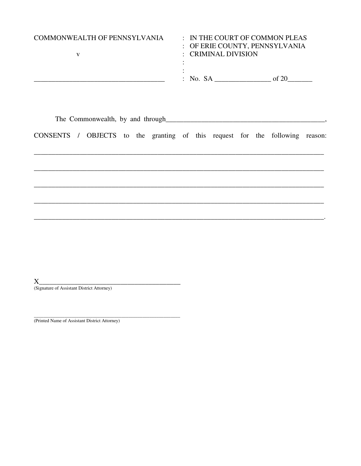| COMMONWEALTH OF PENNSYLVANIA | : OF ERIE COUNTY, PENNSYLVANIA<br>$\therefore$ CRIMINAL DIVISION | $\therefore$ IN THE COURT OF COMMON PLEAS |
|------------------------------|------------------------------------------------------------------|-------------------------------------------|
|                              | : No. SA                                                         |                                           |

CONSENTS / OBJECTS to the granting of this request for the following reason:

 $\sim$ 

 $X_{-}$ (Signature of Assistant District Attorney)

(Printed Name of Assistant District Attorney)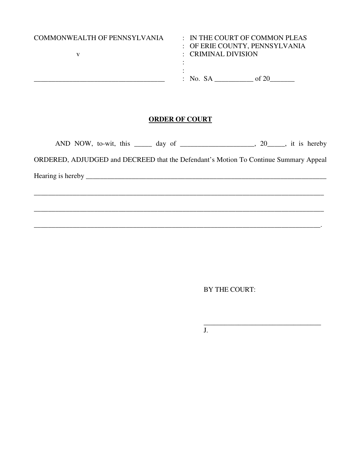| COMMONWEALTH OF PENNSYLVANIA | $\therefore$ CRIMINAL DIVISION | $\therefore$ IN THE COURT OF COMMON PLEAS<br>: OF ERIE COUNTY, PENNSYLVANIA |
|------------------------------|--------------------------------|-----------------------------------------------------------------------------|
|                              | $:$ No. SA                     |                                                                             |

### **ORDER OF COURT**

| AND NOW, to-wit, this $\_\_\_\_$ day of $\_\_\_\_\_\_\_$ 20 $\_\_\_\$ , it is hereby |  |  |
|--------------------------------------------------------------------------------------|--|--|
| ORDERED, ADJUDGED and DECREED that the Defendant's Motion To Continue Summary Appeal |  |  |
|                                                                                      |  |  |
|                                                                                      |  |  |

\_\_\_\_\_\_\_\_\_\_\_\_\_\_\_\_\_\_\_\_\_\_\_\_\_\_\_\_\_\_\_\_\_\_\_\_\_\_\_\_\_\_\_\_\_\_\_\_\_\_\_\_\_\_\_\_\_\_\_\_\_\_\_\_\_\_\_\_\_\_\_\_\_\_\_\_\_\_\_\_\_.

BY THE COURT:

 $\frac{1}{\sqrt{2}}$  ,  $\frac{1}{\sqrt{2}}$  ,  $\frac{1}{\sqrt{2}}$  ,  $\frac{1}{\sqrt{2}}$  ,  $\frac{1}{\sqrt{2}}$  ,  $\frac{1}{\sqrt{2}}$  ,  $\frac{1}{\sqrt{2}}$  ,  $\frac{1}{\sqrt{2}}$  ,  $\frac{1}{\sqrt{2}}$  ,  $\frac{1}{\sqrt{2}}$  ,  $\frac{1}{\sqrt{2}}$  ,  $\frac{1}{\sqrt{2}}$  ,  $\frac{1}{\sqrt{2}}$  ,  $\frac{1}{\sqrt{2}}$  ,  $\frac{1}{\sqrt{2}}$ 

J.